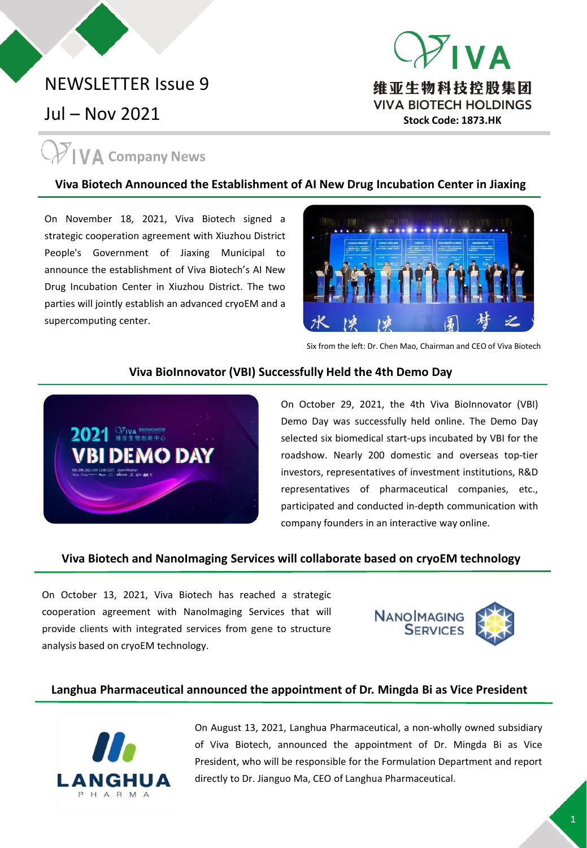### NEWSLETTER Issue 9

Jul – Nov 2021

## **VA** Company News

#### **Viva Biotech Announced the Establishment of AI New Drug Incubation Center in Jiaxing**

On November 18, 2021, Viva Biotech signed a strategic cooperation agreement with Xiuzhou District People's Government of Jiaxing Municipal to announce the establishment of Viva Biotech's AI New Drug Incubation Center in Xiuzhou District. The two parties will jointly establish an advanced cryoEM and a supercomputing center.



**Stock Code: 1873.HK**

维亚生物科技控股集团 **VIVA BIOTECH HOLDINGS** 

VД

Six from the left: Dr. Chen Mao, Chairman and CEO of Viva Biotech

#### **Viva BioInnovator (VBI) Successfully Held the 4th Demo Day**



On October 29, 2021, the 4th Viva BioInnovator (VBI) Demo Day was successfully held online. The Demo Day selected six biomedical start-ups incubated by VBI for the roadshow. Nearly 200 domestic and overseas top-tier investors, representatives of investment institutions, R&D representatives of pharmaceutical companies, etc., participated and conducted in-depth communication with company founders in an interactive way online.

#### **Viva Biotech and NanoImaging Services will collaborate based on cryoEM technology**

On October 13, 2021, Viva Biotech has reached a strategic cooperation agreement with NanoImaging Services that will provide clients with integrated services from gene to structure analysis based on cryoEM technology.



#### **Langhua Pharmaceutical announced the appointment of Dr. Mingda Bi as Vice President**



On August 13, 2021, Langhua Pharmaceutical, a non-wholly owned subsidiary of Viva Biotech, announced the appointment of Dr. Mingda Bi as Vice President, who will be responsible for the Formulation Department and report directly to Dr. Jianguo Ma, CEO of Langhua Pharmaceutical.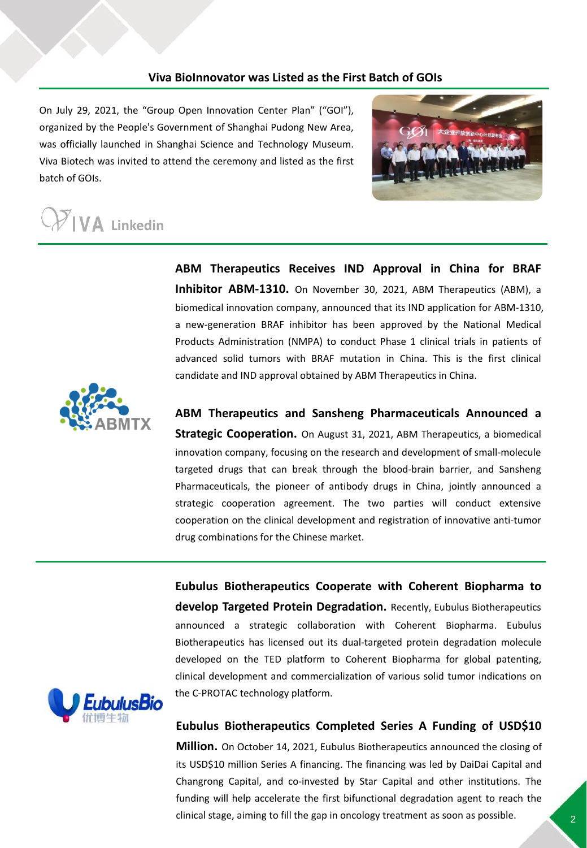#### **Viva BioInnovator was Listed as the First Batch of GOIs**

On July 29, 2021, the "Group Open Innovation Center Plan" ("GOI"), organized by the People's Government of Shanghai Pudong New Area, was officially launched in Shanghai Science and Technology Museum. Viva Biotech was invited to attend the ceremony and listed as the first batch of GOIs.



# $\sum_{k=1}^{\infty}$  Linkedin

**ABM Therapeutics Receives IND Approval in China for BRAF Inhibitor ABM-1310.** On November 30, 2021, ABM Therapeutics (ABM), a biomedical innovation company, announced that its IND application for ABM-1310, a new-generation BRAF inhibitor has been approved by the National Medical Products Administration (NMPA) to conduct Phase 1 clinical trials in patients of advanced solid tumors with BRAF mutation in China. This is the first clinical candidate and IND approval obtained by ABM Therapeutics in China.



**ABM Therapeutics and Sansheng Pharmaceuticals Announced a Strategic Cooperation.** On August 31, 2021, ABM Therapeutics, a biomedical innovation company, focusing on the research and development of small-molecule targeted drugs that can break through the blood-brain barrier, and Sansheng Pharmaceuticals, the pioneer of antibody drugs in China, jointly announced a strategic cooperation agreement. The two parties will conduct extensive cooperation on the clinical development and registration of innovative anti-tumor drug combinations for the Chinese market.

**Eubulus Biotherapeutics Cooperate with Coherent Biopharma to develop Targeted Protein Degradation.** Recently, Eubulus Biotherapeutics announced a strategic collaboration with Coherent Biopharma. Eubulus Biotherapeutics has licensed out its dual-targeted protein degradation molecule developed on the TED platform to Coherent Biopharma for global patenting, clinical development and commercialization of various solid tumor indications on the C-PROTAC technology platform.



**Eubulus Biotherapeutics Completed Series A Funding of USD\$10 Million.** On October 14, 2021, Eubulus Biotherapeutics announced the closing of

its USD\$10 million Series A financing. The financing was led by DaiDai Capital and Changrong Capital, and co-invested by Star Capital and other institutions. The funding will help accelerate the first bifunctional degradation agent to reach the clinical stage, aiming to fill the gap in oncology treatment as soon as possible.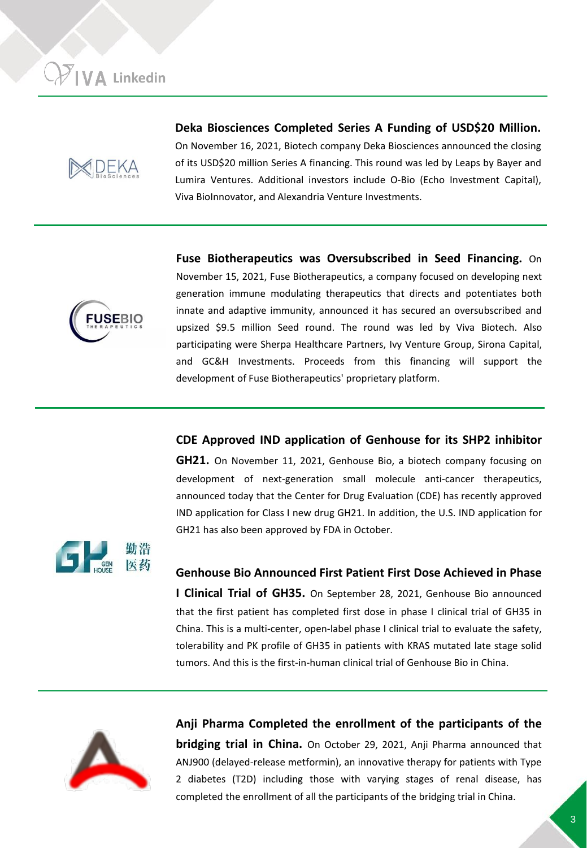

**Deka Biosciences Completed Series A Funding of USD\$20 Million.** On November 16, 2021, Biotech company Deka Biosciences announced the closing of its USD\$20 million Series A financing. This round was led by Leaps by Bayer and Lumira Ventures. Additional investors include O-Bio (Echo Investment Capital), Viva BioInnovator, and Alexandria Venture Investments.



**Fuse Biotherapeutics was Oversubscribed in Seed Financing.** On November 15, 2021, Fuse Biotherapeutics, a company focused on developing next generation immune modulating therapeutics that directs and potentiates both innate and adaptive immunity, announced it has secured an oversubscribed and upsized \$9.5 million Seed round. The round was led by Viva Biotech. Also participating were Sherpa Healthcare Partners, Ivy Venture Group, Sirona Capital, and GC&H Investments. Proceeds from this financing will support the development of Fuse Biotherapeutics' proprietary platform.

**CDE Approved IND application of Genhouse for its SHP2 inhibitor**

**GH21.** On November 11, 2021, Genhouse Bio, a biotech company focusing on development of next-generation small molecule anti-cancer therapeutics, announced today that the Center for Drug Evaluation (CDE) has recently approved IND application for Class I new drug GH21. In addition, the U.S. IND application for GH21 has also been approved by FDA in October.



**Genhouse Bio Announced First Patient First Dose Achieved in Phase**

**I Clinical Trial of GH35.** On September 28, 2021, Genhouse Bio announced that the first patient has completed first dose in phase I clinical trial of GH35 in China. This is a multi-center, open-label phase I clinical trial to evaluate the safety, tolerability and PK profile of GH35 in patients with KRAS mutated late stage solid tumors. And this is the first-in-human clinical trial of Genhouse Bio in China.



**Anji Pharma Completed the enrollment of the participants of the bridging trial in China.** On October 29, 2021, Anji Pharma announced that ANJ900 (delayed-release metformin), an innovative therapy for patients with Type 2 diabetes (T2D) including those with varying stages of renal disease, has completed the enrollment of all the participants of the bridging trial in China.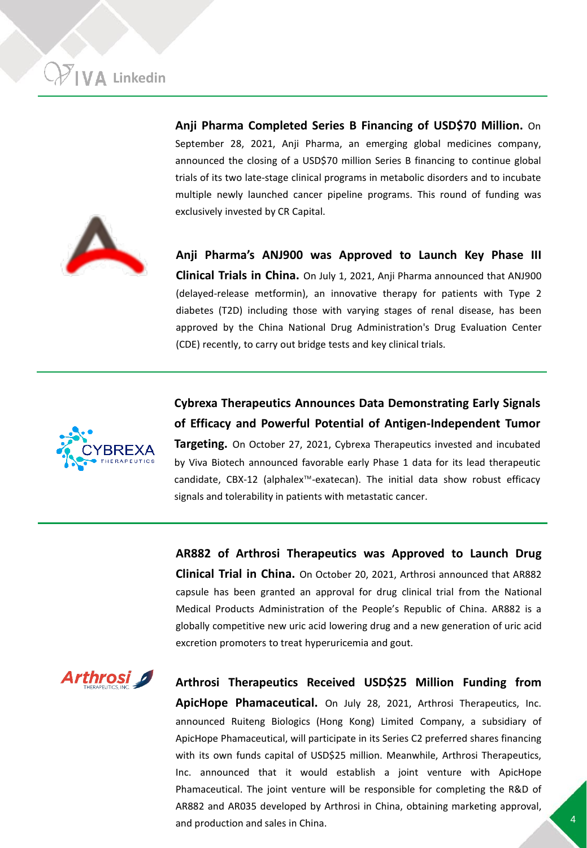**Anji Pharma Completed Series B Financing of USD\$70 Million.** On September 28, 2021, Anji Pharma, an emerging global medicines company, announced the closing of a USD\$70 million Series B financing to continue global trials of its two late-stage clinical programs in metabolic disorders and to incubate multiple newly launched cancer pipeline programs. This round of funding was exclusively invested by CR Capital.



**Anji Pharma's ANJ900 was Approved to Launch Key Phase III Clinical Trials in China.** On July 1, 2021, Anji Pharma announced that ANJ900 (delayed-release metformin), an innovative therapy for patients with Type 2 diabetes (T2D) including those with varying stages of renal disease, has been approved by the China National Drug Administration's Drug Evaluation Center (CDE) recently, to carry out bridge tests and key clinical trials.



**Cybrexa Therapeutics Announces Data Demonstrating Early Signals of Efficacy and Powerful Potential of Antigen-Independent Tumor**

**Targeting.** On October 27, 2021, Cybrexa Therapeutics invested and incubated by Viva Biotech announced favorable early Phase 1 data for its lead therapeutic candidate, CBX-12 (alphalex™-exatecan). The initial data show robust efficacy signals and tolerability in patients with metastatic cancer.

**AR882 of Arthrosi Therapeutics was Approved to Launch Drug Clinical Trial in China.** On October 20, 2021, Arthrosi announced that AR882 capsule has been granted an approval for drug clinical trial from the National Medical Products Administration of the People's Republic of China. AR882 is a globally competitive new uric acid lowering drug and a new generation of uric acid excretion promoters to treat hyperuricemia and gout.



**Arthrosi Therapeutics Received USD\$25 Million Funding from ApicHope Phamaceutical.** On July 28, 2021, Arthrosi Therapeutics, Inc. announced Ruiteng Biologics (Hong Kong) Limited Company, a subsidiary of ApicHope Phamaceutical, will participate in its Series C2 preferred shares financing with its own funds capital of USD\$25 million. Meanwhile, Arthrosi Therapeutics, Inc. announced that it would establish a joint venture with ApicHope Phamaceutical. The joint venture will be responsible for completing the R&D of AR882 and AR035 developed by Arthrosi in China, obtaining marketing approval, and production and sales in China.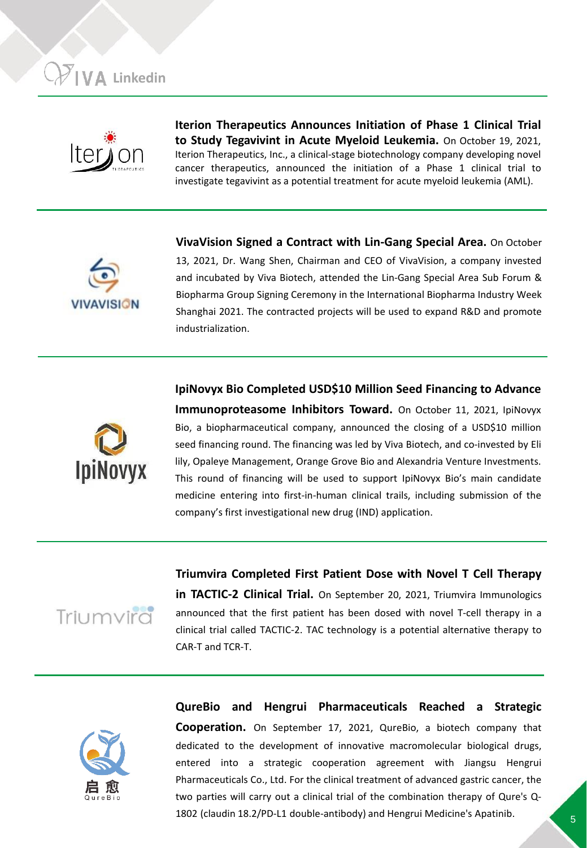

**Iterion Therapeutics Announces Initiation of Phase 1 Clinical Trial to Study Tegavivint in Acute Myeloid Leukemia.** On October 19, 2021, Iterion Therapeutics, Inc., a clinical-stage biotechnology company developing novel cancer therapeutics, announced the initiation of a Phase 1 clinical trial to investigate tegavivint as a potential treatment for acute myeloid leukemia (AML).



**VivaVision Signed a Contract with Lin-Gang Special Area.** On October 13, 2021, Dr. Wang Shen, Chairman and CEO of VivaVision, a company invested and incubated by Viva Biotech, attended the Lin-Gang Special Area Sub Forum & Biopharma Group Signing Ceremony in the International Biopharma Industry Week Shanghai 2021. The contracted projects will be used to expand R&D and promote industrialization.



**IpiNovyx Bio Completed USD\$10 Million Seed Financing to Advance Immunoproteasome Inhibitors Toward.** On October 11, 2021, IpiNovyx Bio, a biopharmaceutical company, announced the closing of a USD\$10 million seed financing round. The financing was led by Viva Biotech, and co-invested by Eli lily, Opaleye Management, Orange Grove Bio and Alexandria Venture Investments. This round of financing will be used to support IpiNovyx Bio's main candidate medicine entering into first-in-human clinical trails, including submission of the company's first investigational new drug (IND) application.



**Triumvira Completed First Patient Dose with Novel T Cell Therapy in TACTIC-2 Clinical Trial.** On September 20, 2021, Triumvira Immunologics announced that the first patient has been dosed with novel T-cell therapy in a clinical trial called TACTIC-2. TAC technology is a potential alternative therapy to CAR-T and TCR-T.



**QureBio and Hengrui Pharmaceuticals Reached a Strategic Cooperation.** On September 17, 2021, QureBio, a biotech company that dedicated to the development of innovative macromolecular biological drugs, entered into a strategic cooperation agreement with Jiangsu Hengrui Pharmaceuticals Co., Ltd. For the clinical treatment of advanced gastric cancer, the two parties will carry out a clinical trial of the combination therapy of Qure's Q-1802 (claudin 18.2/PD-L1 double-antibody) and Hengrui Medicine's Apatinib.